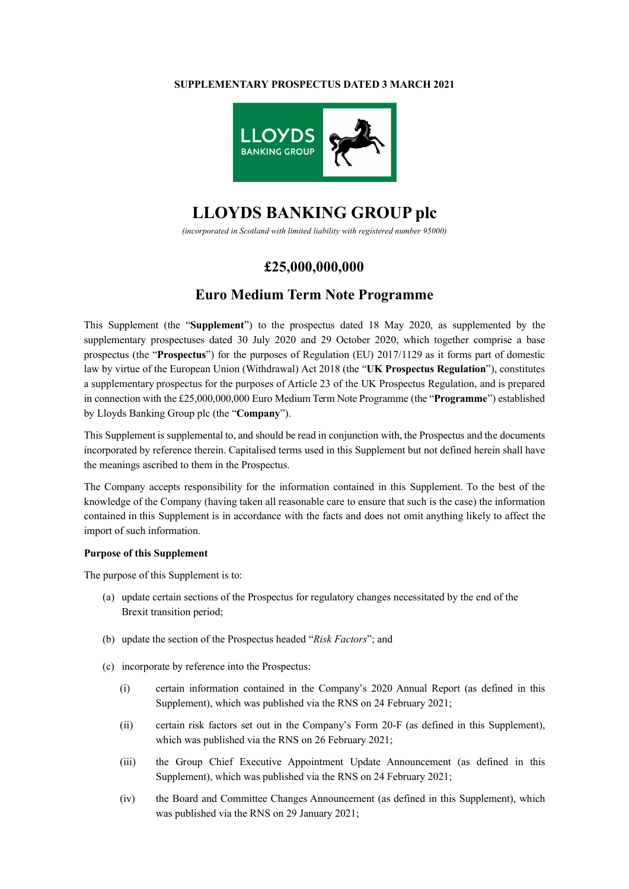### **SUPPLEMENTARY PROSPECTUS DATED 3 MARCH 2021**



# **LLOYDS BANKING GROUP plc**

*(incorporated in Scotland with limited liability with registered number 95000)*

# **£25,000,000,000**

# **Euro Medium Term Note Programme**

This Supplement (the "**Supplement**") to the prospectus dated 18 May 2020, as supplemented by the supplementary prospectuses dated 30 July 2020 and 29 October 2020, which together comprise a base prospectus (the "**Prospectus**") for the purposes of Regulation (EU) 2017/1129 as it forms part of domestic law by virtue of the European Union (Withdrawal) Act 2018 (the "**UK Prospectus Regulation**"), constitutes a supplementary prospectus for the purposes of Article 23 of the UK Prospectus Regulation, and is prepared in connection with the £25,000,000,000 Euro Medium Term Note Programme (the "**Programme**") established by Lloyds Banking Group plc (the "**Company**").

This Supplement is supplemental to, and should be read in conjunction with, the Prospectus and the documents incorporated by reference therein. Capitalised terms used in this Supplement but not defined herein shall have the meanings ascribed to them in the Prospectus.

The Company accepts responsibility for the information contained in this Supplement. To the best of the knowledge of the Company (having taken all reasonable care to ensure that such is the case) the information contained in this Supplement is in accordance with the facts and does not omit anything likely to affect the import of such information.

### **Purpose of this Supplement**

The purpose of this Supplement is to:

- (a) update certain sections of the Prospectus for regulatory changes necessitated by the end of the Brexit transition period;
- (b) update the section of the Prospectus headed "*Risk Factors*"; and
- (c) incorporate by reference into the Prospectus:
	- (i) certain information contained in the Company's 2020 Annual Report (as defined in this Supplement), which was published via the RNS on 24 February 2021;
	- (ii) certain risk factors set out in the Company's Form 20-F (as defined in this Supplement), which was published via the RNS on 26 February 2021;
	- (iii) the Group Chief Executive Appointment Update Announcement (as defined in this Supplement), which was published via the RNS on 24 February 2021;
	- (iv) the Board and Committee Changes Announcement (as defined in this Supplement), which was published via the RNS on 29 January 2021;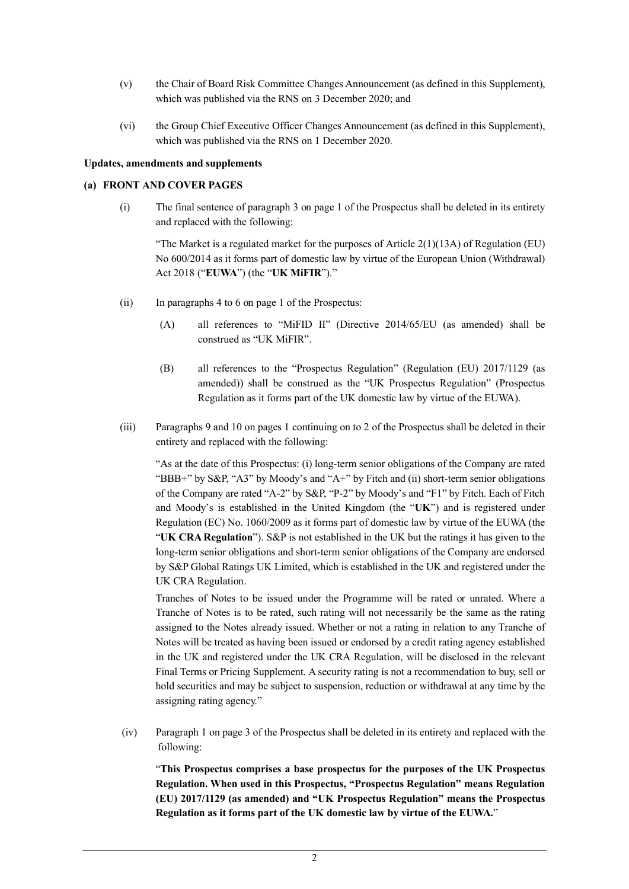- (v) the Chair of Board Risk Committee Changes Announcement (as defined in this Supplement), which was published via the RNS on 3 December 2020; and
- (vi) the Group Chief Executive Officer Changes Announcement (as defined in this Supplement), which was published via the RNS on 1 December 2020.

### **Updates, amendments and supplements**

### **(a) FRONT AND COVER PAGES**

(i) The final sentence of paragraph 3 on page 1 of the Prospectus shall be deleted in its entirety and replaced with the following:

"The Market is a regulated market for the purposes of Article  $2(1)(13A)$  of Regulation (EU) No 600/2014 as it forms part of domestic law by virtue of the European Union (Withdrawal) Act 2018 ("**EUWA**") (the "**UK MiFIR**")."

- (ii) In paragraphs 4 to 6 on page 1 of the Prospectus:
	- (A) all references to "MiFID II" (Directive 2014/65/EU (as amended) shall be construed as "UK MiFIR".
	- (B) all references to the "Prospectus Regulation" (Regulation (EU) 2017/1129 (as amended)) shall be construed as the "UK Prospectus Regulation" (Prospectus Regulation as it forms part of the UK domestic law by virtue of the EUWA).
- (iii) Paragraphs 9 and 10 on pages 1 continuing on to 2 of the Prospectus shall be deleted in their entirety and replaced with the following:

"As at the date of this Prospectus: (i) long-term senior obligations of the Company are rated "BBB+" by S&P, "A3" by Moody's and "A+" by Fitch and (ii) short-term senior obligations of the Company are rated "A-2" by S&P, "P-2" by Moody's and "F1" by Fitch. Each of Fitch and Moody's is established in the United Kingdom (the "**UK**") and is registered under Regulation (EC) No. 1060/2009 as it forms part of domestic law by virtue of the EUWA (the "**UK CRA Regulation**"). S&P is not established in the UK but the ratings it has given to the long-term senior obligations and short-term senior obligations of the Company are endorsed by S&P Global Ratings UK Limited, which is established in the UK and registered under the UK CRA Regulation.

Tranches of Notes to be issued under the Programme will be rated or unrated. Where a Tranche of Notes is to be rated, such rating will not necessarily be the same as the rating assigned to the Notes already issued. Whether or not a rating in relation to any Tranche of Notes will be treated as having been issued or endorsed by a credit rating agency established in the UK and registered under the UK CRA Regulation, will be disclosed in the relevant Final Terms or Pricing Supplement. A security rating is not a recommendation to buy, sell or hold securities and may be subject to suspension, reduction or withdrawal at any time by the assigning rating agency."

(iv) Paragraph 1 on page 3 of the Prospectus shall be deleted in its entirety and replaced with the following:

"**This Prospectus comprises a base prospectus for the purposes of the UK Prospectus Regulation. When used in this Prospectus, "Prospectus Regulation" means Regulation (EU) 2017/1129 (as amended) and "UK Prospectus Regulation" means the Prospectus Regulation as it forms part of the UK domestic law by virtue of the EUWA.**"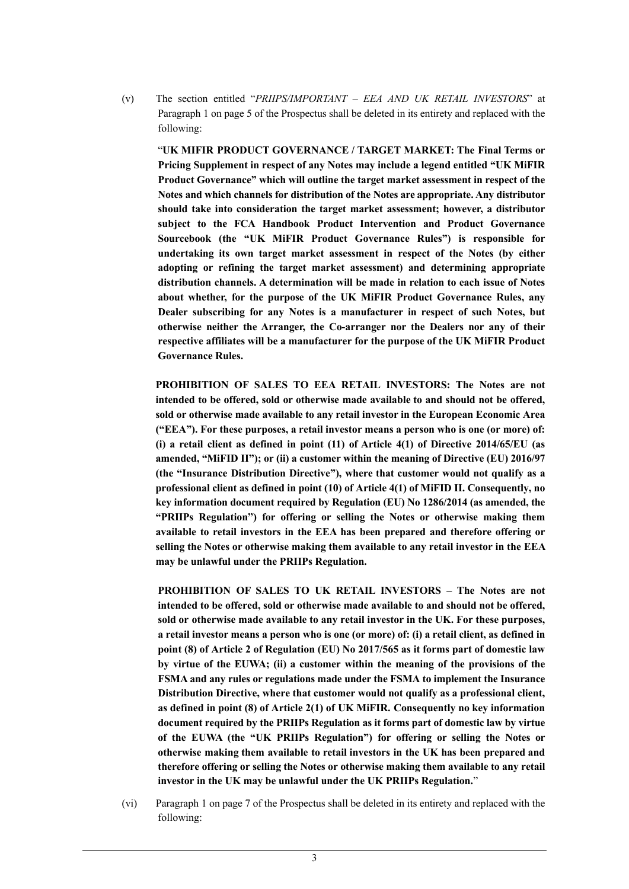(v) The section entitled "*PRIIPS/IMPORTANT – EEA AND UK RETAIL INVESTORS*" at Paragraph 1 on page 5 of the Prospectus shall be deleted in its entirety and replaced with the following:

"**UK MIFIR PRODUCT GOVERNANCE / TARGET MARKET: The Final Terms or Pricing Supplement in respect of any Notes may include a legend entitled "UK MiFIR Product Governance" which will outline the target market assessment in respect of the Notes and which channels for distribution of the Notes are appropriate. Any distributor should take into consideration the target market assessment; however, a distributor subject to the FCA Handbook Product Intervention and Product Governance Sourcebook (the "UK MiFIR Product Governance Rules") is responsible for undertaking its own target market assessment in respect of the Notes (by either adopting or refining the target market assessment) and determining appropriate distribution channels. A determination will be made in relation to each issue of Notes about whether, for the purpose of the UK MiFIR Product Governance Rules, any Dealer subscribing for any Notes is a manufacturer in respect of such Notes, but otherwise neither the Arranger, the Co-arranger nor the Dealers nor any of their respective affiliates will be a manufacturer for the purpose of the UK MiFIR Product Governance Rules.**

**PROHIBITION OF SALES TO EEA RETAIL INVESTORS: The Notes are not intended to be offered, sold or otherwise made available to and should not be offered, sold or otherwise made available to any retail investor in the European Economic Area ("EEA"). For these purposes, a retail investor means a person who is one (or more) of: (i) a retail client as defined in point (11) of Article 4(1) of Directive 2014/65/EU (as amended, "MiFID II"); or (ii) a customer within the meaning of Directive (EU) 2016/97 (the "Insurance Distribution Directive"), where that customer would not qualify as a professional client as defined in point (10) of Article 4(1) of MiFID II. Consequently, no key information document required by Regulation (EU) No 1286/2014 (as amended, the "PRIIPs Regulation") for offering or selling the Notes or otherwise making them available to retail investors in the EEA has been prepared and therefore offering or selling the Notes or otherwise making them available to any retail investor in the EEA may be unlawful under the PRIIPs Regulation.**

**PROHIBITION OF SALES TO UK RETAIL INVESTORS – The Notes are not intended to be offered, sold or otherwise made available to and should not be offered, sold or otherwise made available to any retail investor in the UK. For these purposes, a retail investor means a person who is one (or more) of: (i) a retail client, as defined in point (8) of Article 2 of Regulation (EU) No 2017/565 as it forms part of domestic law by virtue of the EUWA; (ii) a customer within the meaning of the provisions of the FSMA and any rules or regulations made under the FSMA to implement the Insurance Distribution Directive, where that customer would not qualify as a professional client, as defined in point (8) of Article 2(1) of UK MiFIR. Consequently no key information document required by the PRIIPs Regulation as it forms part of domestic law by virtue of the EUWA (the "UK PRIIPs Regulation") for offering or selling the Notes or otherwise making them available to retail investors in the UK has been prepared and therefore offering or selling the Notes or otherwise making them available to any retail investor in the UK may be unlawful under the UK PRIIPs Regulation.**"

(vi) Paragraph 1 on page 7 of the Prospectus shall be deleted in its entirety and replaced with the following: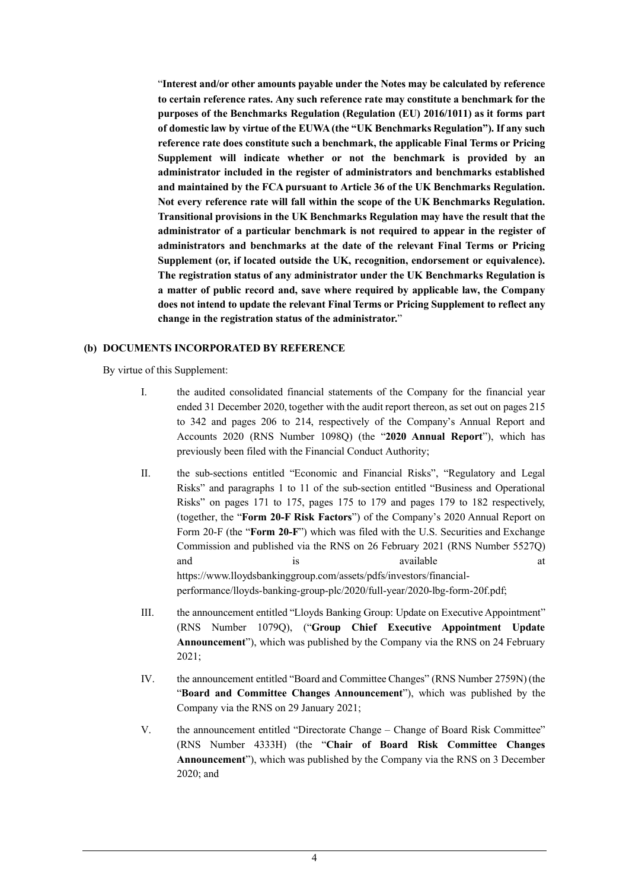"**Interest and/or other amounts payable under the Notes may be calculated by reference to certain reference rates. Any such reference rate may constitute a benchmark for the purposes of the Benchmarks Regulation (Regulation (EU) 2016/1011) as it forms part of domestic law by virtue of the EUWA (the "UK Benchmarks Regulation"). If any such reference rate does constitute such a benchmark, the applicable Final Terms or Pricing Supplement will indicate whether or not the benchmark is provided by an administrator included in the register of administrators and benchmarks established and maintained by the FCA pursuant to Article 36 of the UK Benchmarks Regulation. Not every reference rate will fall within the scope of the UK Benchmarks Regulation. Transitional provisions in the UK Benchmarks Regulation may have the result that the administrator of a particular benchmark is not required to appear in the register of administrators and benchmarks at the date of the relevant Final Terms or Pricing Supplement (or, if located outside the UK, recognition, endorsement or equivalence). The registration status of any administrator under the UK Benchmarks Regulation is a matter of public record and, save where required by applicable law, the Company does not intend to update the relevant Final Terms or Pricing Supplement to reflect any change in the registration status of the administrator.**"

### **(b) DOCUMENTS INCORPORATED BY REFERENCE**

By virtue of this Supplement:

- I. the audited consolidated financial statements of the Company for the financial year ended 31 December 2020, together with the audit report thereon, as set out on pages 215 to 342 and pages 206 to 214, respectively of the Company's Annual Report and Accounts 2020 (RNS Number 1098Q) (the "**2020 Annual Report**"), which has previously been filed with the Financial Conduct Authority;
- II. the sub-sections entitled "Economic and Financial Risks", "Regulatory and Legal Risks" and paragraphs 1 to 11 of the sub-section entitled "Business and Operational Risks" on pages 171 to 175, pages 175 to 179 and pages 179 to 182 respectively, (together, the "**Form 20-F Risk Factors**") of the Company's 2020 Annual Report on Form 20-F (the "**Form 20-F**") which was filed with the U.S. Securities and Exchange Commission and published via the RNS on 26 February 2021 (RNS Number 5527Q) and is is available at a result of  $\alpha$  and  $\alpha$  at  $\alpha$ https://www.lloydsbankinggroup.com/assets/pdfs/investors/financialperformance/lloyds-banking-group-plc/2020/full-year/2020-lbg-form-20f.pdf;
- III. the announcement entitled "Lloyds Banking Group: Update on Executive Appointment" (RNS Number 1079Q), ("**Group Chief Executive Appointment Update Announcement**"), which was published by the Company via the RNS on 24 February 2021;
- IV. the announcement entitled "Board and Committee Changes" (RNS Number 2759N) (the "**Board and Committee Changes Announcement**"), which was published by the Company via the RNS on 29 January 2021;
- V. the announcement entitled "Directorate Change Change of Board Risk Committee" (RNS Number 4333H) (the "**Chair of Board Risk Committee Changes Announcement**"), which was published by the Company via the RNS on 3 December 2020; and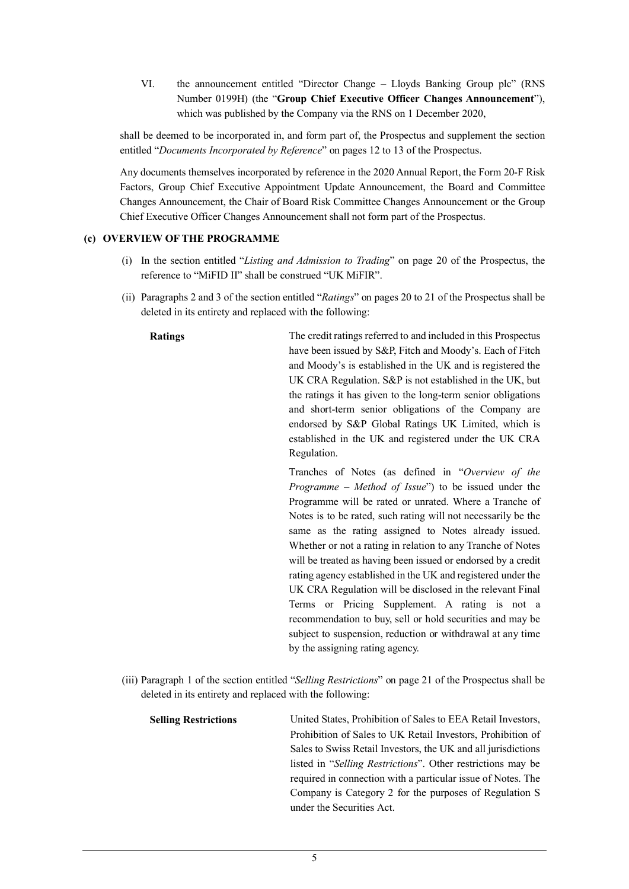VI. the announcement entitled "Director Change – Lloyds Banking Group plc" (RNS Number 0199H) (the "**Group Chief Executive Officer Changes Announcement**"), which was published by the Company via the RNS on 1 December 2020,

shall be deemed to be incorporated in, and form part of, the Prospectus and supplement the section entitled "*Documents Incorporated by Reference*" on pages 12 to 13 of the Prospectus.

Any documents themselves incorporated by reference in the 2020 Annual Report, the Form 20-F Risk Factors, Group Chief Executive Appointment Update Announcement, the Board and Committee Changes Announcement, the Chair of Board Risk Committee Changes Announcement or the Group Chief Executive Officer Changes Announcement shall not form part of the Prospectus.

### **(c) OVERVIEW OF THE PROGRAMME**

- (i) In the section entitled "*Listing and Admission to Trading*" on page 20 of the Prospectus, the reference to "MiFID II" shall be construed "UK MiFIR".
- (ii) Paragraphs 2 and 3 of the section entitled "*Ratings*" on pages 20 to 21 of the Prospectus shall be deleted in its entirety and replaced with the following:

**Ratings** The credit ratings referred to and included in this Prospectus have been issued by S&P, Fitch and Moody's. Each of Fitch and Moody's is established in the UK and is registered the UK CRA Regulation. S&P is not established in the UK, but the ratings it has given to the long-term senior obligations and short-term senior obligations of the Company are endorsed by S&P Global Ratings UK Limited, which is established in the UK and registered under the UK CRA Regulation.

> Tranches of Notes (as defined in "*Overview of the Programme – Method of Issue*") to be issued under the Programme will be rated or unrated. Where a Tranche of Notes is to be rated, such rating will not necessarily be the same as the rating assigned to Notes already issued. Whether or not a rating in relation to any Tranche of Notes will be treated as having been issued or endorsed by a credit rating agency established in the UK and registered under the UK CRA Regulation will be disclosed in the relevant Final Terms or Pricing Supplement. A rating is not a recommendation to buy, sell or hold securities and may be subject to suspension, reduction or withdrawal at any time by the assigning rating agency.

(iii) Paragraph 1 of the section entitled "*Selling Restrictions*" on page 21 of the Prospectus shall be deleted in its entirety and replaced with the following:

**Selling Restrictions** United States, Prohibition of Sales to EEA Retail Investors, Prohibition of Sales to UK Retail Investors, Prohibition of Sales to Swiss Retail Investors, the UK and all jurisdictions listed in "*Selling Restrictions*". Other restrictions may be required in connection with a particular issue of Notes. The Company is Category 2 for the purposes of Regulation S under the Securities Act.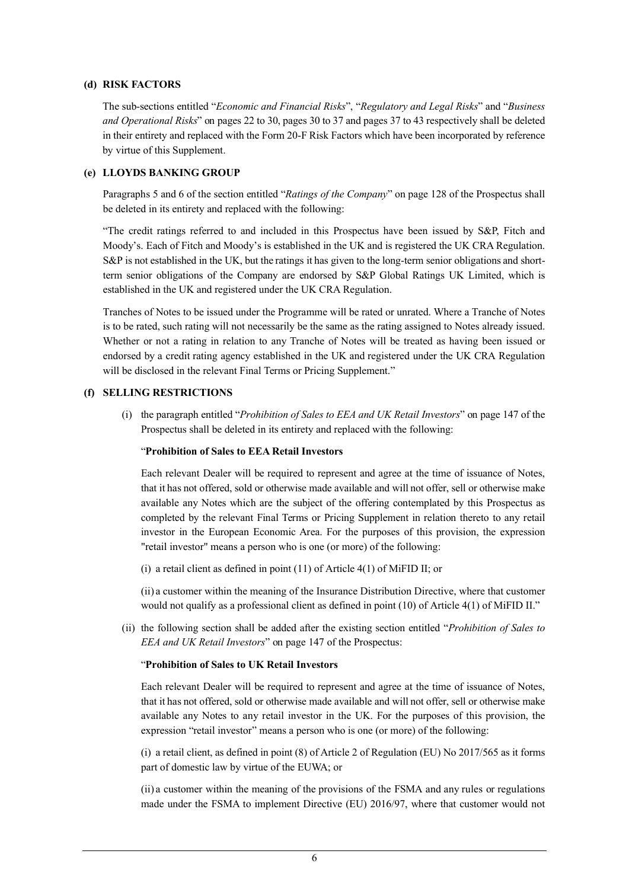### **(d) RISK FACTORS**

The sub-sections entitled "*Economic and Financial Risks*", "*Regulatory and Legal Risks*" and "*Business and Operational Risks*" on pages 22 to 30, pages 30 to 37 and pages 37 to 43 respectively shall be deleted in their entirety and replaced with the Form 20-F Risk Factors which have been incorporated by reference by virtue of this Supplement.

### **(e) LLOYDS BANKING GROUP**

Paragraphs 5 and 6 of the section entitled "*Ratings of the Company*" on page 128 of the Prospectus shall be deleted in its entirety and replaced with the following:

"The credit ratings referred to and included in this Prospectus have been issued by S&P, Fitch and Moody's. Each of Fitch and Moody's is established in the UK and is registered the UK CRA Regulation. S&P is not established in the UK, but the ratings it has given to the long-term senior obligations and shortterm senior obligations of the Company are endorsed by S&P Global Ratings UK Limited, which is established in the UK and registered under the UK CRA Regulation.

Tranches of Notes to be issued under the Programme will be rated or unrated. Where a Tranche of Notes is to be rated, such rating will not necessarily be the same as the rating assigned to Notes already issued. Whether or not a rating in relation to any Tranche of Notes will be treated as having been issued or endorsed by a credit rating agency established in the UK and registered under the UK CRA Regulation will be disclosed in the relevant Final Terms or Pricing Supplement."

### **(f) SELLING RESTRICTIONS**

(i) the paragraph entitled "*Prohibition of Sales to EEA and UK Retail Investors*" on page 147 of the Prospectus shall be deleted in its entirety and replaced with the following:

### "**Prohibition of Sales to EEA Retail Investors**

Each relevant Dealer will be required to represent and agree at the time of issuance of Notes, that it has not offered, sold or otherwise made available and will not offer, sell or otherwise make available any Notes which are the subject of the offering contemplated by this Prospectus as completed by the relevant Final Terms or Pricing Supplement in relation thereto to any retail investor in the European Economic Area. For the purposes of this provision, the expression "retail investor" means a person who is one (or more) of the following:

(i) a retail client as defined in point (11) of Article 4(1) of MiFID II; or

(ii) a customer within the meaning of the Insurance Distribution Directive, where that customer would not qualify as a professional client as defined in point (10) of Article 4(1) of MiFID II."

(ii) the following section shall be added after the existing section entitled "*Prohibition of Sales to EEA and UK Retail Investors*" on page 147 of the Prospectus:

### "**Prohibition of Sales to UK Retail Investors**

Each relevant Dealer will be required to represent and agree at the time of issuance of Notes, that it has not offered, sold or otherwise made available and will not offer, sell or otherwise make available any Notes to any retail investor in the UK. For the purposes of this provision, the expression "retail investor" means a person who is one (or more) of the following:

(i) a retail client, as defined in point (8) of Article 2 of Regulation (EU) No 2017/565 as it forms part of domestic law by virtue of the EUWA; or

(ii) a customer within the meaning of the provisions of the FSMA and any rules or regulations made under the FSMA to implement Directive (EU) 2016/97, where that customer would not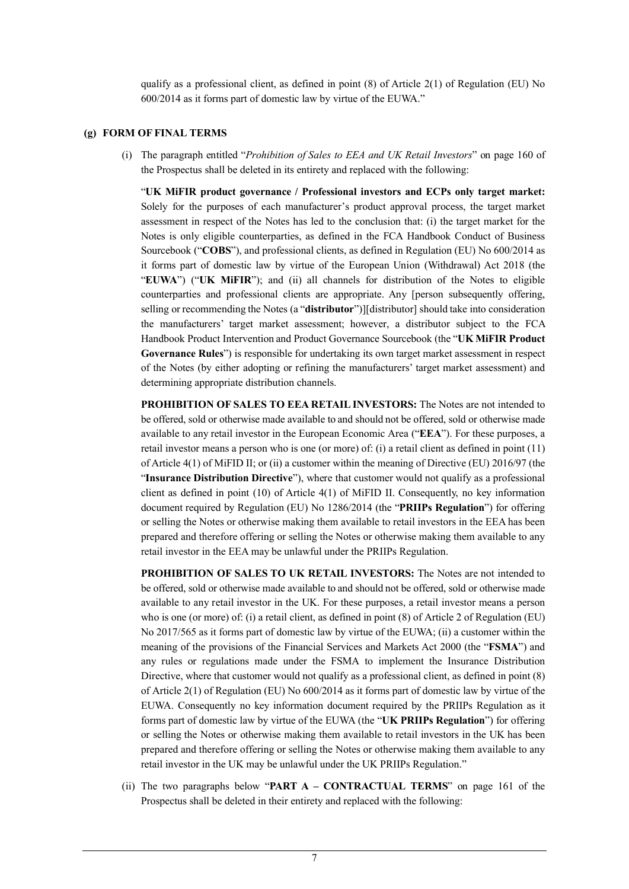qualify as a professional client, as defined in point  $(8)$  of Article 2(1) of Regulation (EU) No 600/2014 as it forms part of domestic law by virtue of the EUWA."

### **(g) FORM OF FINAL TERMS**

(i) The paragraph entitled "*Prohibition of Sales to EEA and UK Retail Investors*" on page 160 of the Prospectus shall be deleted in its entirety and replaced with the following:

"**UK MiFIR product governance / Professional investors and ECPs only target market:** Solely for the purposes of each manufacturer's product approval process, the target market assessment in respect of the Notes has led to the conclusion that: (i) the target market for the Notes is only eligible counterparties, as defined in the FCA Handbook Conduct of Business Sourcebook ("**COBS**"), and professional clients, as defined in Regulation (EU) No 600/2014 as it forms part of domestic law by virtue of the European Union (Withdrawal) Act 2018 (the "**EUWA**") ("**UK MiFIR**"); and (ii) all channels for distribution of the Notes to eligible counterparties and professional clients are appropriate. Any [person subsequently offering, selling or recommending the Notes (a "**distributor**")][distributor] should take into consideration the manufacturers' target market assessment; however, a distributor subject to the FCA Handbook Product Intervention and Product Governance Sourcebook (the "**UK MiFIR Product Governance Rules**") is responsible for undertaking its own target market assessment in respect of the Notes (by either adopting or refining the manufacturers' target market assessment) and determining appropriate distribution channels.

**PROHIBITION OF SALES TO EEA RETAIL INVESTORS:** The Notes are not intended to be offered, sold or otherwise made available to and should not be offered, sold or otherwise made available to any retail investor in the European Economic Area ("**EEA**"). For these purposes, a retail investor means a person who is one (or more) of: (i) a retail client as defined in point (11) of Article 4(1) of MiFID II; or (ii) a customer within the meaning of Directive (EU) 2016/97 (the "**Insurance Distribution Directive**"), where that customer would not qualify as a professional client as defined in point (10) of Article 4(1) of MiFID II. Consequently, no key information document required by Regulation (EU) No 1286/2014 (the "**PRIIPs Regulation**") for offering or selling the Notes or otherwise making them available to retail investors in the EEA has been prepared and therefore offering or selling the Notes or otherwise making them available to any retail investor in the EEA may be unlawful under the PRIIPs Regulation.

**PROHIBITION OF SALES TO UK RETAIL INVESTORS:** The Notes are not intended to be offered, sold or otherwise made available to and should not be offered, sold or otherwise made available to any retail investor in the UK. For these purposes, a retail investor means a person who is one (or more) of: (i) a retail client, as defined in point (8) of Article 2 of Regulation (EU) No 2017/565 as it forms part of domestic law by virtue of the EUWA; (ii) a customer within the meaning of the provisions of the Financial Services and Markets Act 2000 (the "**FSMA**") and any rules or regulations made under the FSMA to implement the Insurance Distribution Directive, where that customer would not qualify as a professional client, as defined in point (8) of Article 2(1) of Regulation (EU) No 600/2014 as it forms part of domestic law by virtue of the EUWA. Consequently no key information document required by the PRIIPs Regulation as it forms part of domestic law by virtue of the EUWA (the "**UK PRIIPs Regulation**") for offering or selling the Notes or otherwise making them available to retail investors in the UK has been prepared and therefore offering or selling the Notes or otherwise making them available to any retail investor in the UK may be unlawful under the UK PRIIPs Regulation."

(ii) The two paragraphs below "**PART A – CONTRACTUAL TERMS**" on page 161 of the Prospectus shall be deleted in their entirety and replaced with the following: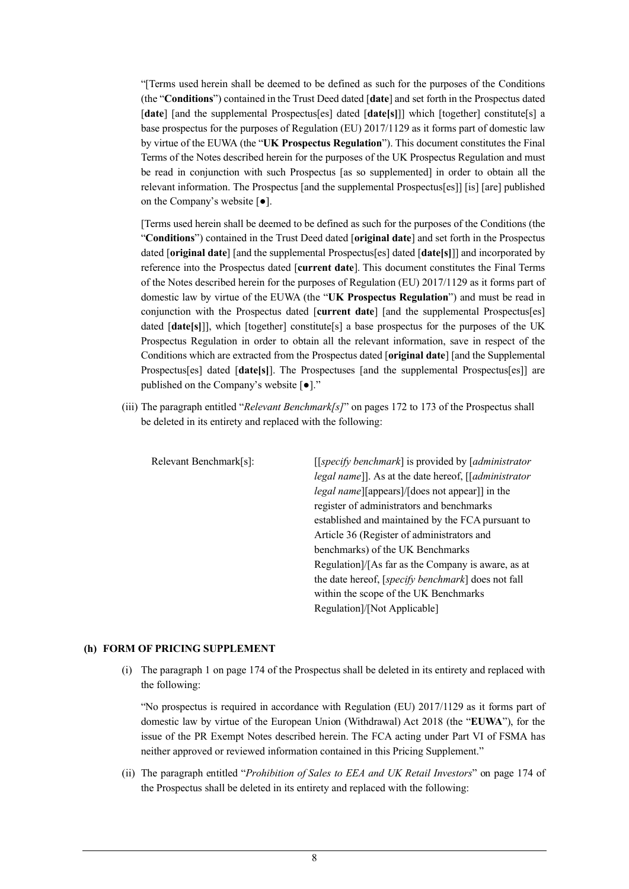"[Terms used herein shall be deemed to be defined as such for the purposes of the Conditions (the "**Conditions**") contained in the Trust Deed dated [**date**] and set forth in the Prospectus dated [**date**] [and the supplemental Prospectus[es] dated [**date[s]**]] which [together] constitute[s] a base prospectus for the purposes of Regulation (EU) 2017/1129 as it forms part of domestic law by virtue of the EUWA (the "**UK Prospectus Regulation**"). This document constitutes the Final Terms of the Notes described herein for the purposes of the UK Prospectus Regulation and must be read in conjunction with such Prospectus [as so supplemented] in order to obtain all the relevant information. The Prospectus [and the supplemental Prospectus[es]] [is] [are] published on the Company's website [●].

[Terms used herein shall be deemed to be defined as such for the purposes of the Conditions (the "**Conditions**") contained in the Trust Deed dated [**original date**] and set forth in the Prospectus dated [**original date**] [and the supplemental Prospectus[es] dated [**date[s]**]] and incorporated by reference into the Prospectus dated [**current date**]. This document constitutes the Final Terms of the Notes described herein for the purposes of Regulation (EU) 2017/1129 as it forms part of domestic law by virtue of the EUWA (the "**UK Prospectus Regulation**") and must be read in conjunction with the Prospectus dated [**current date**] [and the supplemental Prospectus[es] dated [date[s]]], which [together] constitute[s] a base prospectus for the purposes of the UK Prospectus Regulation in order to obtain all the relevant information, save in respect of the Conditions which are extracted from the Prospectus dated [**original date**] [and the Supplemental Prospectus[es] dated [**date[s]**]. The Prospectuses [and the supplemental Prospectus[es]] are published on the Company's website [●]."

(iii) The paragraph entitled "*Relevant Benchmark[s]*" on pages 172 to 173 of the Prospectus shall be deleted in its entirety and replaced with the following:

| Relevant Benchmark[s]: | [[specify benchmark] is provided by [administrator]    |
|------------------------|--------------------------------------------------------|
|                        | legal name]]. As at the date hereof, [[administrator   |
|                        | <i>legal name</i> [[appears]/[does not appear]] in the |
|                        | register of administrators and benchmarks              |
|                        | established and maintained by the FCA pursuant to      |
|                        | Article 36 (Register of administrators and             |
|                        | benchmarks) of the UK Benchmarks                       |
|                        | Regulation]/[As far as the Company is aware, as at     |
|                        | the date hereof, [specify benchmark] does not fall     |
|                        | within the scope of the UK Benchmarks                  |
|                        | Regulation]/[Not Applicable]                           |

### **(h) FORM OF PRICING SUPPLEMENT**

(i) The paragraph 1 on page 174 of the Prospectus shall be deleted in its entirety and replaced with the following:

"No prospectus is required in accordance with Regulation (EU) 2017/1129 as it forms part of domestic law by virtue of the European Union (Withdrawal) Act 2018 (the "**EUWA**"), for the issue of the PR Exempt Notes described herein. The FCA acting under Part VI of FSMA has neither approved or reviewed information contained in this Pricing Supplement."

(ii) The paragraph entitled "*Prohibition of Sales to EEA and UK Retail Investors*" on page 174 of the Prospectus shall be deleted in its entirety and replaced with the following: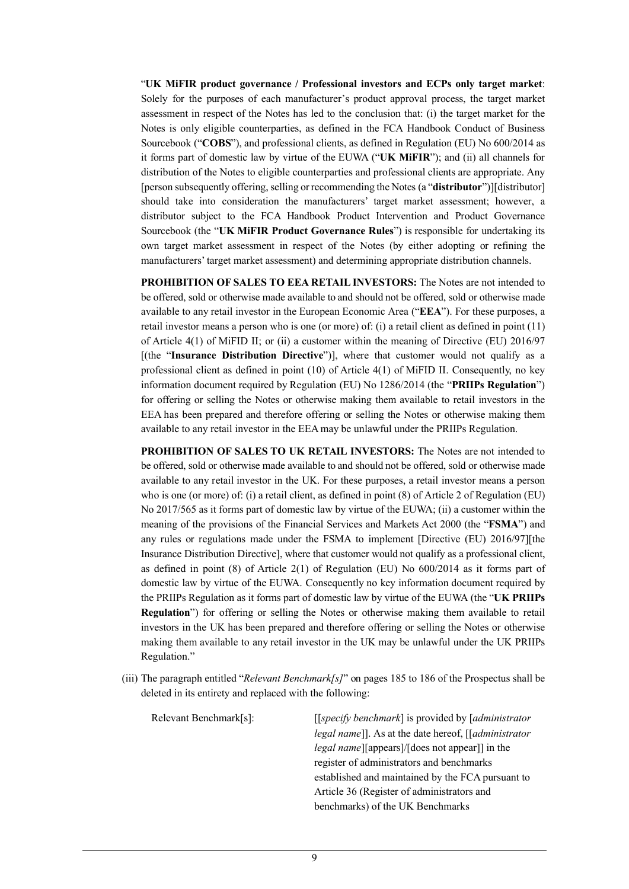"**UK MiFIR product governance / Professional investors and ECPs only target market**: Solely for the purposes of each manufacturer's product approval process, the target market assessment in respect of the Notes has led to the conclusion that: (i) the target market for the Notes is only eligible counterparties, as defined in the FCA Handbook Conduct of Business Sourcebook ("**COBS**"), and professional clients, as defined in Regulation (EU) No 600/2014 as it forms part of domestic law by virtue of the EUWA ("**UK MiFIR**"); and (ii) all channels for distribution of the Notes to eligible counterparties and professional clients are appropriate. Any [person subsequently offering, selling or recommending the Notes (a "**distributor**")][distributor] should take into consideration the manufacturers' target market assessment; however, a distributor subject to the FCA Handbook Product Intervention and Product Governance Sourcebook (the "**UK MiFIR Product Governance Rules**") is responsible for undertaking its own target market assessment in respect of the Notes (by either adopting or refining the manufacturers' target market assessment) and determining appropriate distribution channels.

**PROHIBITION OF SALES TO EEA RETAIL INVESTORS:** The Notes are not intended to be offered, sold or otherwise made available to and should not be offered, sold or otherwise made available to any retail investor in the European Economic Area ("**EEA**"). For these purposes, a retail investor means a person who is one (or more) of: (i) a retail client as defined in point (11) of Article 4(1) of MiFID II; or (ii) a customer within the meaning of Directive (EU) 2016/97 [(the "**Insurance Distribution Directive**")], where that customer would not qualify as a professional client as defined in point (10) of Article 4(1) of MiFID II. Consequently, no key information document required by Regulation (EU) No 1286/2014 (the "**PRIIPs Regulation**") for offering or selling the Notes or otherwise making them available to retail investors in the EEA has been prepared and therefore offering or selling the Notes or otherwise making them available to any retail investor in the EEA may be unlawful under the PRIIPs Regulation.

**PROHIBITION OF SALES TO UK RETAIL INVESTORS:** The Notes are not intended to be offered, sold or otherwise made available to and should not be offered, sold or otherwise made available to any retail investor in the UK. For these purposes, a retail investor means a person who is one (or more) of: (i) a retail client, as defined in point (8) of Article 2 of Regulation (EU) No 2017/565 as it forms part of domestic law by virtue of the EUWA; (ii) a customer within the meaning of the provisions of the Financial Services and Markets Act 2000 (the "**FSMA**") and any rules or regulations made under the FSMA to implement [Directive (EU) 2016/97][the Insurance Distribution Directive], where that customer would not qualify as a professional client, as defined in point (8) of Article 2(1) of Regulation (EU) No 600/2014 as it forms part of domestic law by virtue of the EUWA. Consequently no key information document required by the PRIIPs Regulation as it forms part of domestic law by virtue of the EUWA (the "**UK PRIIPs Regulation**") for offering or selling the Notes or otherwise making them available to retail investors in the UK has been prepared and therefore offering or selling the Notes or otherwise making them available to any retail investor in the UK may be unlawful under the UK PRIIPs Regulation."

(iii) The paragraph entitled "*Relevant Benchmark[s]*" on pages 185 to 186 of the Prospectus shall be deleted in its entirety and replaced with the following:

| Relevant Benchmark[s]: | $[$ [specify benchmark] is provided by $[$ <i>administrator</i>        |
|------------------------|------------------------------------------------------------------------|
|                        | <i>legal name</i> ]]. As at the date hereof, [ <i>[administrator</i> ] |
|                        | <i>legal name</i> [[appears]/[does not appear]] in the                 |
|                        | register of administrators and benchmarks                              |
|                        | established and maintained by the FCA pursuant to                      |
|                        | Article 36 (Register of administrators and                             |
|                        | benchmarks) of the UK Benchmarks                                       |